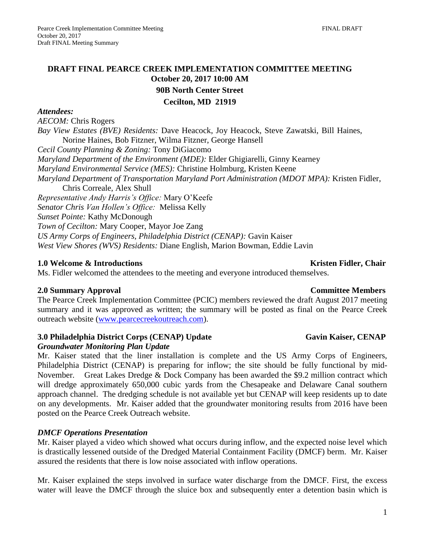# **October 20, 2017 10:00 AM**

#### *Attendees:*

*AECOM:* Chris Rogers *Bay View Estates (BVE) Residents:* Dave Heacock, Joy Heacock, Steve Zawatski, Bill Haines, Norine Haines, Bob Fitzner, Wilma Fitzner, George Hansell *Cecil County Planning & Zoning:* Tony DiGiacomo *Maryland Department of the Environment (MDE):* Elder Ghigiarelli, Ginny Kearney *Maryland Environmental Service (MES):* Christine Holmburg, Kristen Keene *Maryland Department of Transportation Maryland Port Administration (MDOT MPA):* Kristen Fidler, Chris Correale, Alex Shull *Representative Andy Harris's Office:* Mary O'Keefe *Senator Chris Van Hollen's Office:* Melissa Kelly *Sunset Pointe:* Kathy McDonough *Town of Cecilton:* Mary Cooper, Mayor Joe Zang *US Army Corps of Engineers, Philadelphia District (CENAP):* Gavin Kaiser *West View Shores (WVS) Residents:* Diane English, Marion Bowman, Eddie Lavin

#### **1.0** Welcome & Introductions Kristen Fidler, Chair

Ms. Fidler welcomed the attendees to the meeting and everyone introduced themselves.

#### **2.0 Summary Approval Committee Members**

The Pearce Creek Implementation Committee (PCIC) members reviewed the draft August 2017 meeting summary and it was approved as written; the summary will be posted as final on the Pearce Creek outreach website [\(www.pearcecreekoutreach.com\)](http://www.pearcecreekoutreach.com/).

### **3.0** Philadelphia District Corps (CENAP) Update Gavin Kaiser, CENAP

#### *Groundwater Monitoring Plan Update*

Mr. Kaiser stated that the liner installation is complete and the US Army Corps of Engineers, Philadelphia District (CENAP) is preparing for inflow; the site should be fully functional by mid-November. Great Lakes Dredge & Dock Company has been awarded the \$9.2 million contract which will dredge approximately 650,000 cubic yards from the Chesapeake and Delaware Canal southern approach channel. The dredging schedule is not available yet but CENAP will keep residents up to date on any developments. Mr. Kaiser added that the groundwater monitoring results from 2016 have been posted on the Pearce Creek Outreach website.

#### *DMCF Operations Presentation*

Mr. Kaiser played a video which showed what occurs during inflow, and the expected noise level which is drastically lessened outside of the Dredged Material Containment Facility (DMCF) berm. Mr. Kaiser assured the residents that there is low noise associated with inflow operations.

Mr. Kaiser explained the steps involved in surface water discharge from the DMCF. First, the excess water will leave the DMCF through the sluice box and subsequently enter a detention basin which is

# **DRAFT FINAL PEARCE CREEK IMPLEMENTATION COMMITTEE MEETING**

## **90B North Center Street**

## **Cecilton, MD 21919**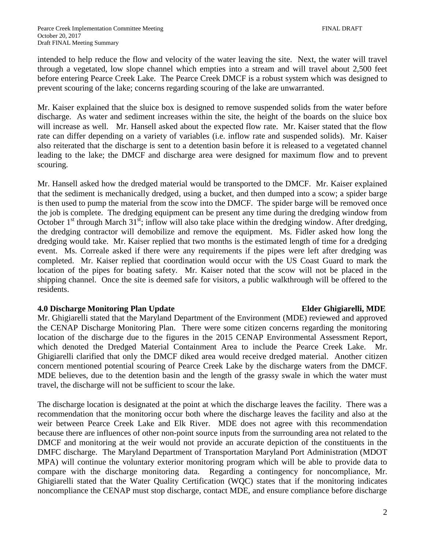intended to help reduce the flow and velocity of the water leaving the site. Next, the water will travel through a vegetated, low slope channel which empties into a stream and will travel about 2,500 feet before entering Pearce Creek Lake. The Pearce Creek DMCF is a robust system which was designed to prevent scouring of the lake; concerns regarding scouring of the lake are unwarranted.

Mr. Kaiser explained that the sluice box is designed to remove suspended solids from the water before discharge. As water and sediment increases within the site, the height of the boards on the sluice box will increase as well. Mr. Hansell asked about the expected flow rate. Mr. Kaiser stated that the flow rate can differ depending on a variety of variables (i.e. inflow rate and suspended solids). Mr. Kaiser also reiterated that the discharge is sent to a detention basin before it is released to a vegetated channel leading to the lake; the DMCF and discharge area were designed for maximum flow and to prevent scouring.

Mr. Hansell asked how the dredged material would be transported to the DMCF. Mr. Kaiser explained that the sediment is mechanically dredged, using a bucket, and then dumped into a scow; a spider barge is then used to pump the material from the scow into the DMCF. The spider barge will be removed once the job is complete. The dredging equipment can be present any time during the dredging window from October  $1<sup>st</sup>$  through March  $31<sup>st</sup>$ ; inflow will also take place within the dredging window. After dredging, the dredging contractor will demobilize and remove the equipment. Ms. Fidler asked how long the dredging would take. Mr. Kaiser replied that two months is the estimated length of time for a dredging event. Ms. Correale asked if there were any requirements if the pipes were left after dredging was completed. Mr. Kaiser replied that coordination would occur with the US Coast Guard to mark the location of the pipes for boating safety. Mr. Kaiser noted that the scow will not be placed in the shipping channel. Once the site is deemed safe for visitors, a public walkthrough will be offered to the residents.

#### **4.0 Discharge Monitoring Plan Update Elder Ghigiarelli, MDE**

Mr. Ghigiarelli stated that the Maryland Department of the Environment (MDE) reviewed and approved the CENAP Discharge Monitoring Plan. There were some citizen concerns regarding the monitoring location of the discharge due to the figures in the 2015 CENAP Environmental Assessment Report, which denoted the Dredged Material Containment Area to include the Pearce Creek Lake. Mr. Ghigiarelli clarified that only the DMCF diked area would receive dredged material. Another citizen concern mentioned potential scouring of Pearce Creek Lake by the discharge waters from the DMCF. MDE believes, due to the detention basin and the length of the grassy swale in which the water must travel, the discharge will not be sufficient to scour the lake.

The discharge location is designated at the point at which the discharge leaves the facility. There was a recommendation that the monitoring occur both where the discharge leaves the facility and also at the weir between Pearce Creek Lake and Elk River. MDE does not agree with this recommendation because there are influences of other non-point source inputs from the surrounding area not related to the DMCF and monitoring at the weir would not provide an accurate depiction of the constituents in the DMFC discharge. The Maryland Department of Transportation Maryland Port Administration (MDOT MPA) will continue the voluntary exterior monitoring program which will be able to provide data to compare with the discharge monitoring data. Regarding a contingency for noncompliance, Mr. Ghigiarelli stated that the Water Quality Certification (WQC) states that if the monitoring indicates noncompliance the CENAP must stop discharge, contact MDE, and ensure compliance before discharge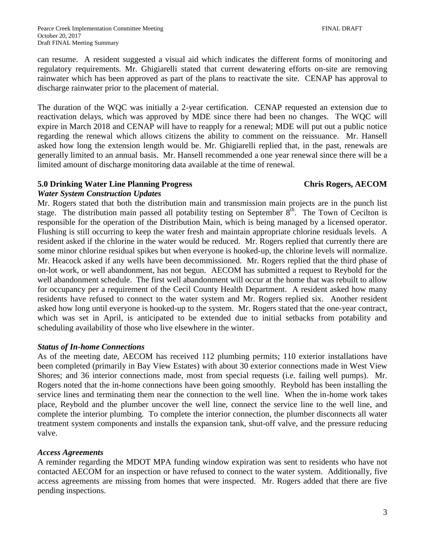can resume. A resident suggested a visual aid which indicates the different forms of monitoring and regulatory requirements. Mr. Ghigiarelli stated that current dewatering efforts on-site are removing rainwater which has been approved as part of the plans to reactivate the site. CENAP has approval to discharge rainwater prior to the placement of material.

The duration of the WQC was initially a 2-year certification. CENAP requested an extension due to reactivation delays, which was approved by MDE since there had been no changes. The WQC will expire in March 2018 and CENAP will have to reapply for a renewal; MDE will put out a public notice regarding the renewal which allows citizens the ability to comment on the reissuance. Mr. Hansell asked how long the extension length would be. Mr. Ghigiarelli replied that, in the past, renewals are generally limited to an annual basis. Mr. Hansell recommended a one year renewal since there will be a limited amount of discharge monitoring data available at the time of renewal.

### **5.0 Drinking Water Line Planning Progress Chris Rogers, AECOM**

### *Water System Construction Updates*

Mr. Rogers stated that both the distribution main and transmission main projects are in the punch list stage. The distribution main passed all potability testing on September  $8<sup>th</sup>$ . The Town of Cecilton is responsible for the operation of the Distribution Main, which is being managed by a licensed operator. Flushing is still occurring to keep the water fresh and maintain appropriate chlorine residuals levels. A resident asked if the chlorine in the water would be reduced. Mr. Rogers replied that currently there are some minor chlorine residual spikes but when everyone is hooked-up, the chlorine levels will normalize. Mr. Heacock asked if any wells have been decommissioned. Mr. Rogers replied that the third phase of on-lot work, or well abandonment, has not begun. AECOM has submitted a request to Reybold for the well abandonment schedule. The first well abandonment will occur at the home that was rebuilt to allow for occupancy per a requirement of the Cecil County Health Department. A resident asked how many residents have refused to connect to the water system and Mr. Rogers replied six. Another resident asked how long until everyone is hooked-up to the system. Mr. Rogers stated that the one-year contract, which was set in April, is anticipated to be extended due to initial setbacks from potability and scheduling availability of those who live elsewhere in the winter.

### *Status of In-home Connections*

As of the meeting date, AECOM has received 112 plumbing permits; 110 exterior installations have been completed (primarily in Bay View Estates) with about 30 exterior connections made in West View Shores; and 36 interior connections made, most from special requests (i.e. failing well pumps). Mr. Rogers noted that the in-home connections have been going smoothly. Reybold has been installing the service lines and terminating them near the connection to the well line. When the in-home work takes place, Reybold and the plumber uncover the well line, connect the service line to the well line, and complete the interior plumbing. To complete the interior connection, the plumber disconnects all water treatment system components and installs the expansion tank, shut-off valve, and the pressure reducing valve.

#### *Access Agreements*

A reminder regarding the MDOT MPA funding window expiration was sent to residents who have not contacted AECOM for an inspection or have refused to connect to the water system. Additionally, five access agreements are missing from homes that were inspected. Mr. Rogers added that there are five pending inspections.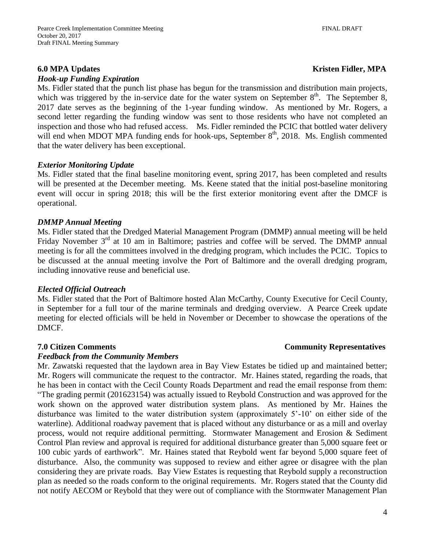#### *Hook-up Funding Expiration*

### **6.0** MPA Updates Kristen Fidler, MPA

Ms. Fidler stated that the punch list phase has begun for the transmission and distribution main projects, which was triggered by the in-service date for the water system on September  $8<sup>th</sup>$ . The September  $8$ , 2017 date serves as the beginning of the 1-year funding window. As mentioned by Mr. Rogers, a second letter regarding the funding window was sent to those residents who have not completed an inspection and those who had refused access. Ms. Fidler reminded the PCIC that bottled water delivery will end when MDOT MPA funding ends for hook-ups, September  $8<sup>th</sup>$ , 2018. Ms. English commented that the water delivery has been exceptional.

### *Exterior Monitoring Update*

Ms. Fidler stated that the final baseline monitoring event, spring 2017, has been completed and results will be presented at the December meeting. Ms. Keene stated that the initial post-baseline monitoring event will occur in spring 2018; this will be the first exterior monitoring event after the DMCF is operational.

### *DMMP Annual Meeting*

Ms. Fidler stated that the Dredged Material Management Program (DMMP) annual meeting will be held Friday November  $3<sup>rd</sup>$  at 10 am in Baltimore; pastries and coffee will be served. The DMMP annual meeting is for all the committees involved in the dredging program, which includes the PCIC. Topics to be discussed at the annual meeting involve the Port of Baltimore and the overall dredging program, including innovative reuse and beneficial use.

#### *Elected Official Outreach*

Ms. Fidler stated that the Port of Baltimore hosted Alan McCarthy, County Executive for Cecil County, in September for a full tour of the marine terminals and dredging overview. A Pearce Creek update meeting for elected officials will be held in November or December to showcase the operations of the DMCF.

### **7.0 Citizen Comments Community Representatives**

#### *Feedback from the Community Members*

Mr. Zawatski requested that the laydown area in Bay View Estates be tidied up and maintained better; Mr. Rogers will communicate the request to the contractor. Mr. Haines stated, regarding the roads, that he has been in contact with the Cecil County Roads Department and read the email response from them: "The grading permit (201623154) was actually issued to Reybold Construction and was approved for the work shown on the approved water distribution system plans. As mentioned by Mr. Haines the disturbance was limited to the water distribution system (approximately 5'-10' on either side of the waterline). Additional roadway pavement that is placed without any disturbance or as a mill and overlay process, would not require additional permitting. Stormwater Management and Erosion & Sediment Control Plan review and approval is required for additional disturbance greater than 5,000 square feet or 100 cubic yards of earthwork". Mr. Haines stated that Reybold went far beyond 5,000 square feet of disturbance. Also, the community was supposed to review and either agree or disagree with the plan considering they are private roads. Bay View Estates is requesting that Reybold supply a reconstruction plan as needed so the roads conform to the original requirements. Mr. Rogers stated that the County did not notify AECOM or Reybold that they were out of compliance with the Stormwater Management Plan